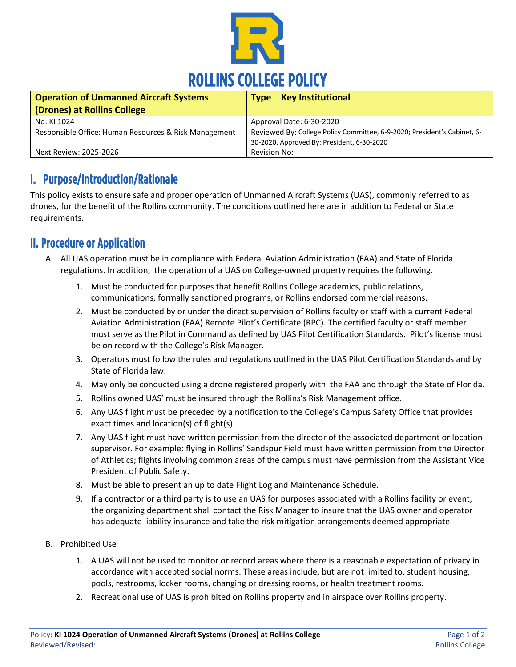

| <b>Operation of Unmanned Aircraft Systems</b>         | <b>Type</b>                                                              | <b>Key Institutional</b> |
|-------------------------------------------------------|--------------------------------------------------------------------------|--------------------------|
| (Drones) at Rollins College                           |                                                                          |                          |
| No: KI 1024                                           | Approval Date: 6-30-2020                                                 |                          |
| Responsible Office: Human Resources & Risk Management | Reviewed By: College Policy Committee, 6-9-2020; President's Cabinet, 6- |                          |
|                                                       | 30-2020. Approved By: President, 6-30-2020                               |                          |
| Next Review: 2025-2026                                | Revision No:                                                             |                          |

### I. Purpose/Introduction/Rationale

This policy exists to ensure safe and proper operation of Unmanned Aircraft Systems (UAS), commonly referred to as drones, for the benefit of the Rollins community. The conditions outlined here are in addition to Federal or State requirements.

### II. Procedure or Application

- A. All UAS operation must be in compliance with Federal Aviation Administration (FAA) and State of Florida regulations. In addition, the operation of a UAS on College-owned property requires the following.
	- 1. Must be conducted for purposes that benefit Rollins College academics, public relations, communications, formally sanctioned programs, or Rollins endorsed commercial reasons.
	- 2. Must be conducted by or under the direct supervision of Rollins faculty or staff with a current Federal Aviation Administration (FAA) Remote Pilot's Certificate (RPC). The certified faculty or staff member must serve as the Pilot in Command as defined by UAS Pilot Certification Standards. Pilot's license must be on record with the College's Risk Manager.
	- 3. Operators must follow the rules and regulations outlined in the UAS Pilot Certification Standards and by State of Florida law.
	- 4. May only be conducted using a drone registered properly with the FAA and through the State of Florida.
	- 5. Rollins owned UAS' must be insured through the Rollins's Risk Management office.
	- 6. Any UAS flight must be preceded by a notification to the College's Campus Safety Office that provides exact times and location(s) of flight(s).
	- 7. Any UAS flight must have written permission from the director of the associated department or location supervisor. For example: flying in Rollins' Sandspur Field must have written permission from the Director of Athletics; flights involving common areas of the campus must have permission from the Assistant Vice President of Public Safety.
	- 8. Must be able to present an up to date Flight Log and Maintenance Schedule.
	- 9. If a contractor or a third party is to use an UAS for purposes associated with a Rollins facility or event, the organizing department shall contact the Risk Manager to insure that the UAS owner and operator has adequate liability insurance and take the risk mitigation arrangements deemed appropriate.
- B. Prohibited Use
	- 1. A UAS will not be used to monitor or record areas where there is a reasonable expectation of privacy in accordance with accepted social norms. These areas include, but are not limited to, student housing, pools, restrooms, locker rooms, changing or dressing rooms, or health treatment rooms.
	- 2. Recreational use of UAS is prohibited on Rollins property and in airspace over Rollins property.